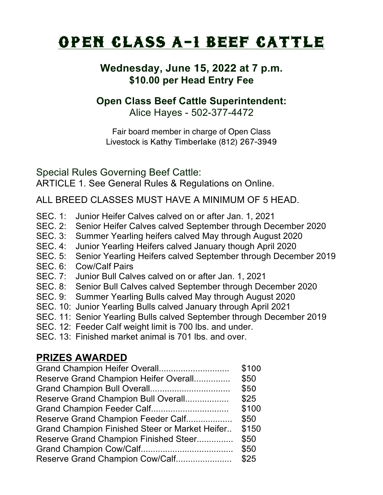## OPEN CLASS A-1 BEEF CATTLE

## **Wednesday, June** 15**, 202**2 **at 7 p.m. \$10.00 per Head Entry Fee**

## **Open Class Beef Cattle Superintendent:**

Alice Hayes - 502-377-4472

Fair board member in charge of Open Class Livestock is Kathy Timberlake (812) 267-3949

Special Rules Governing Beef Cattle: ARTICLE 1. See General Rules & Regulations on Online.

ALL BREED CLASSES MUST HAVE A MINIMUM OF 5 HEAD.

- SEC. 1: Junior Heifer Calves calved on or after Jan. 1, 2021
- SEC. 2: Senior Heifer Calves calved September through December 2020
- SEC. 3: Summer Yearling heifers calved May through August 2020
- SEC. 4: Junior Yearling Heifers calved January though April 2020
- SEC. 5: Senior Yearling Heifers calved September through December 2019
- SEC. 6: Cow/Calf Pairs
- SEC. 7: Junior Bull Calves calved on or after Jan. 1, 2021
- SEC. 8: Senior Bull Calves calved September through December 2020
- SEC. 9: Summer Yearling Bulls calved May through August 2020
- SEC. 10: Junior Yearling Bulls calved January through April 2021
- SEC. 11: Senior Yearling Bulls calved September through December 2019
- SEC. 12: Feeder Calf weight limit is 700 lbs. and under.
- SEC. 13: Finished market animal is 701 lbs. and over.

## **PRIZES AWARDED**

| Reserve Grand Champion Heifer Overall<br>Reserve Grand Champion Bull Overall<br>Grand Champion Feeder Calf<br>Reserve Grand Champion Feeder Calf<br><b>Grand Champion Finished Steer or Market Heifer</b><br>Reserve Grand Champion Finished Steer<br>Reserve Grand Champion Cow/Calf | Grand Champion Heifer Overall | \$100 |
|---------------------------------------------------------------------------------------------------------------------------------------------------------------------------------------------------------------------------------------------------------------------------------------|-------------------------------|-------|
|                                                                                                                                                                                                                                                                                       |                               | \$50  |
|                                                                                                                                                                                                                                                                                       |                               | \$50  |
|                                                                                                                                                                                                                                                                                       |                               | \$25  |
|                                                                                                                                                                                                                                                                                       |                               | \$100 |
|                                                                                                                                                                                                                                                                                       |                               | \$50  |
|                                                                                                                                                                                                                                                                                       |                               | \$150 |
|                                                                                                                                                                                                                                                                                       |                               | \$50  |
|                                                                                                                                                                                                                                                                                       |                               | \$50  |
|                                                                                                                                                                                                                                                                                       |                               | \$25  |